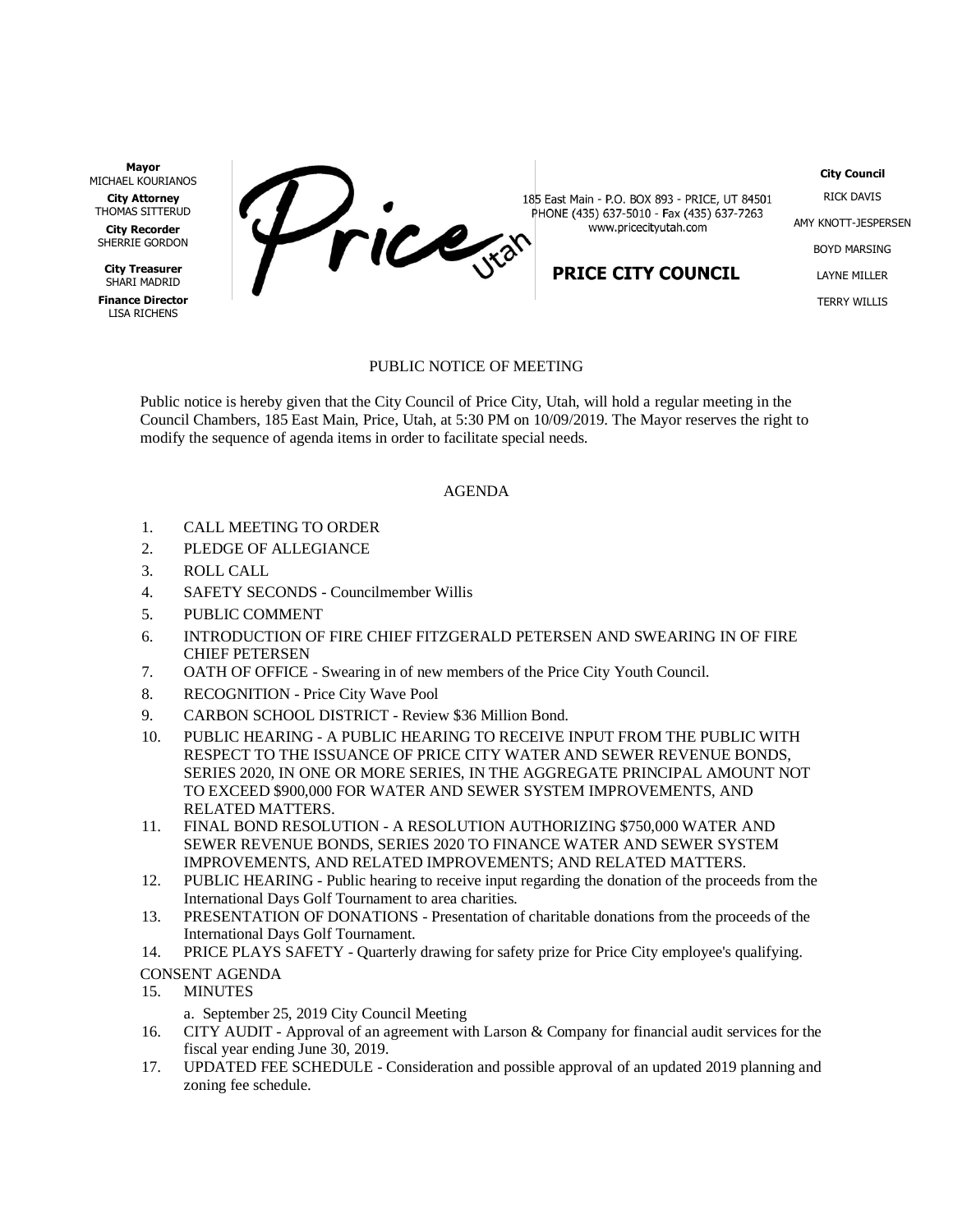**Mayor** MICHAEL KOURIANOS

**City Attorney** THOMAS SITTERUD

**City Recorder** SHERRIE GORDON

**City Treasurer** SHARI MADRID

**Finance Director** LISA RICHENS

Price

185 East Main - P.O. BOX 893 - PRICE, UT 84501 PHONE (435) 637-5010 - Fax (435) 637-7263 www.pricecityutah.com

## **PRICE CITY COUNCIL**

RICK DAVIS AMY KNOTT-JESPERSEN BOYD MARSING LAYNE MILLER TERRY WILLIS

**City Council**

## PUBLIC NOTICE OF MEETING

Public notice is hereby given that the City Council of Price City, Utah, will hold a regular meeting in the Council Chambers, 185 East Main, Price, Utah, at 5:30 PM on 10/09/2019. The Mayor reserves the right to modify the sequence of agenda items in order to facilitate special needs.

## AGENDA

- 1. CALL MEETING TO ORDER
- 2. PLEDGE OF ALLEGIANCE
- 3. ROLL CALL
- 4. SAFETY SECONDS Councilmember Willis
- 5. PUBLIC COMMENT
- 6. INTRODUCTION OF FIRE CHIEF FITZGERALD PETERSEN AND SWEARING IN OF FIRE CHIEF PETERSEN
- 7. OATH OF OFFICE Swearing in of new members of the Price City Youth Council.
- 8. RECOGNITION Price City Wave Pool
- 9. CARBON SCHOOL DISTRICT Review \$36 Million Bond.
- 10. PUBLIC HEARING A PUBLIC HEARING TO RECEIVE INPUT FROM THE PUBLIC WITH RESPECT TO THE ISSUANCE OF PRICE CITY WATER AND SEWER REVENUE BONDS, SERIES 2020, IN ONE OR MORE SERIES, IN THE AGGREGATE PRINCIPAL AMOUNT NOT TO EXCEED \$900,000 FOR WATER AND SEWER SYSTEM IMPROVEMENTS, AND RELATED MATTERS.
- 11. FINAL BOND RESOLUTION A RESOLUTION AUTHORIZING \$750,000 WATER AND SEWER REVENUE BONDS, SERIES 2020 TO FINANCE WATER AND SEWER SYSTEM IMPROVEMENTS, AND RELATED IMPROVEMENTS; AND RELATED MATTERS.
- 12. PUBLIC HEARING Public hearing to receive input regarding the donation of the proceeds from the International Days Golf Tournament to area charities.
- 13. PRESENTATION OF DONATIONS Presentation of charitable donations from the proceeds of the International Days Golf Tournament.
- 14. PRICE PLAYS SAFETY Quarterly drawing for safety prize for Price City employee's qualifying.
- CONSENT AGENDA
- 15. MINUTES
	- a. September 25, 2019 City Council Meeting
- 16. CITY AUDIT Approval of an agreement with Larson & Company for financial audit services for the fiscal year ending June 30, 2019.
- 17. UPDATED FEE SCHEDULE Consideration and possible approval of an updated 2019 planning and zoning fee schedule.